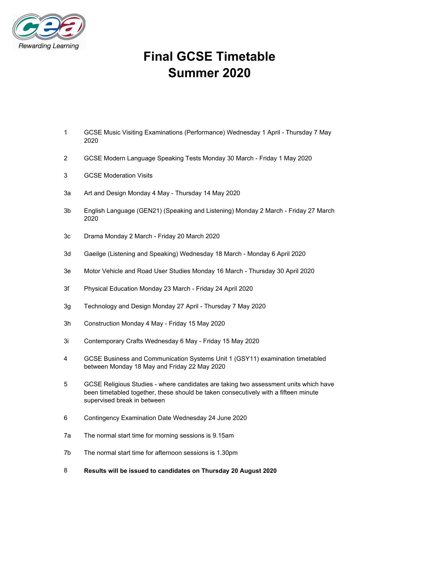

# **Final GCSE Timetable Summer 2020**

- 1 GCSE Music Visiting Examinations (Performance) Wednesday 1 April Thursday 7 May 2020
- 2 GCSE Modern Language Speaking Tests Monday 30 March Friday 1 May 2020
- 3 GCSE Moderation Visits
- 3a Art and Design Monday 4 May Thursday 14 May 2020
- 3b English Language (GEN21) (Speaking and Listening) Monday 2 March Friday 27 March 2020
- 3c Drama Monday 2 March Friday 20 March 2020
- 3d Gaeilge (Listening and Speaking) Wednesday 18 March Monday 6 April 2020
- 3e Motor Vehicle and Road User Studies Monday 16 March Thursday 30 April 2020
- 3f Physical Education Monday 23 March Friday 24 April 2020
- 3g Technology and Design Monday 27 April Thursday 7 May 2020
- 3h Construction Monday 4 May Friday 15 May 2020
- 3i Contemporary Crafts Wednesday 6 May Friday 15 May 2020
- 4 GCSE Business and Communication Systems Unit 1 (GSY11) examination timetabled between Monday 18 May and Friday 22 May 2020
- 5 GCSE Religious Studies where candidates are taking two assessment units which have been timetabled together, these should be taken consecutively with a fifteen minute supervised break in between
- 6 Contingency Examination Date Wednesday 24 June 2020
- 7a The normal start time for morning sessions is 9.15am
- 7b The normal start time for afternoon sessions is 1.30pm
- 8 **Results will be issued to candidates on Thursday 20 August 2020**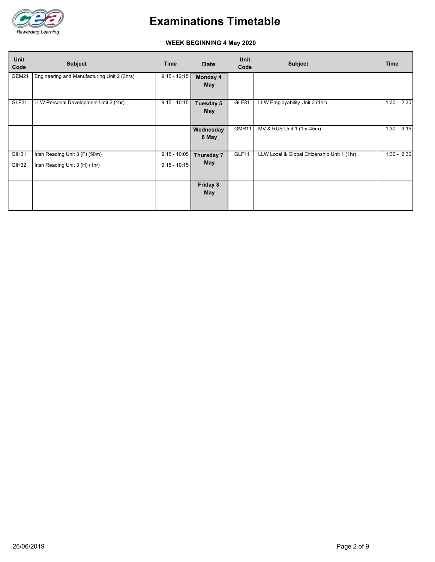

#### **WEEK BEGINNING 4 May 2020**

| <b>Unit</b><br>Code | <b>Subject</b>                                                   | <b>Time</b>                      | <b>Date</b>              | Unit<br>Code | <b>Subject</b>                              | <b>Time</b>   |
|---------------------|------------------------------------------------------------------|----------------------------------|--------------------------|--------------|---------------------------------------------|---------------|
| GEM21               | Engineering and Manufacturing Unit 2 (3hrs)                      | $9:15 - 12:15$                   | Monday 4<br>May          |              |                                             |               |
| GLF21               | LLW Personal Development Unit 2 (1hr)                            | $9:15 - 10:15$                   | Tuesday 5<br>May         | GLF31        | LLW Employability Unit 3 (1hr)              | $1:30 - 2:30$ |
|                     |                                                                  |                                  | Wednesday<br>6 May       | GMR11        | MV & RUS Unit 1 (1hr 45m)                   | $1:30 - 3:15$ |
| GIH31<br>GIH32      | Irish Reading Unit 3 (F) (50m)<br>Irish Reading Unit 3 (H) (1hr) | $9:15 - 10:05$<br>$9:15 - 10:15$ | Thursday 7<br><b>May</b> | GLF11        | LLW Local & Global Citizenship Unit 1 (1hr) | $1:30 - 2:30$ |
|                     |                                                                  |                                  | Friday 8<br><b>May</b>   |              |                                             |               |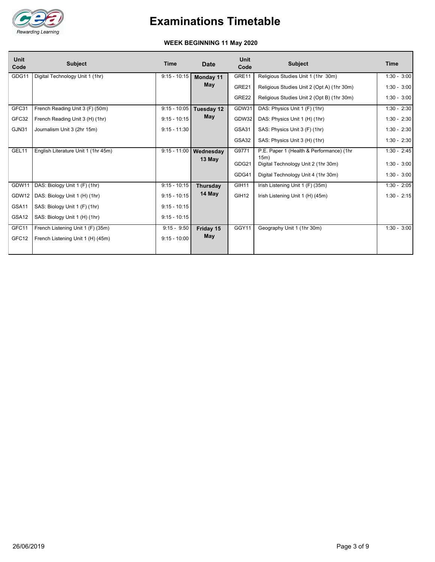

#### **WEEK BEGINNING 11 May 2020**

| <b>Unit</b><br>Code | <b>Subject</b>                      | <b>Time</b>    | Date            | <b>Unit</b><br>Code | <b>Subject</b>                              | <b>Time</b>   |
|---------------------|-------------------------------------|----------------|-----------------|---------------------|---------------------------------------------|---------------|
| GDG11               | Digital Technology Unit 1 (1hr)     | $9:15 - 10:15$ | Monday 11       | GRE11               | Religious Studies Unit 1 (1hr 30m)          | $1:30 - 3:00$ |
|                     |                                     |                | May             | GRE21               | Religious Studies Unit 2 (Opt A) (1hr 30m)  | $1:30 - 3:00$ |
|                     |                                     |                |                 | GRE22               | Religious Studies Unit 2 (Opt B) (1hr 30m)  | $1:30 - 3:00$ |
| GFC31               | French Reading Unit 3 (F) (50m)     | $9:15 - 10:05$ | Tuesday 12      | GDW31               | DAS: Physics Unit 1 (F) (1hr)               | $1:30 - 2:30$ |
| GFC32               | French Reading Unit 3 (H) (1hr)     | $9:15 - 10:15$ | May             | GDW32               | DAS: Physics Unit 1 (H) (1hr)               | $1:30 - 2:30$ |
| GJN31               | Journalism Unit 3 (2hr 15m)         | $9:15 - 11:30$ |                 | GSA31               | SAS: Physics Unit 3 (F) (1hr)               | $1:30 - 2:30$ |
|                     |                                     |                |                 | GSA32               | SAS: Physics Unit 3 (H) (1hr)               | $1:30 - 2:30$ |
| GEL11               | English Literature Unit 1 (1hr 45m) | $9:15 - 11:00$ | Wednesday       | G9771               | P.E. Paper 1 (Health & Performance) (1hr    | $1:30 - 2:45$ |
|                     |                                     |                | 13 May          | GDG21               | 15m)<br>Digital Technology Unit 2 (1hr 30m) | $1:30 - 3:00$ |
|                     |                                     |                |                 | GDG41               | Digital Technology Unit 4 (1hr 30m)         | $1:30 - 3:00$ |
| GDW11               | DAS: Biology Unit 1 (F) (1hr)       | $9:15 - 10:15$ | <b>Thursdav</b> | GIH11               | Irish Listening Unit 1 (F) (35m)            | $1:30 - 2:05$ |
| GDW12               | DAS: Biology Unit 1 (H) (1hr)       | $9:15 - 10:15$ | 14 May          | GIH <sub>12</sub>   | Irish Listening Unit 1 (H) (45m)            | $1:30 - 2:15$ |
| GSA11               | SAS: Biology Unit 1 (F) (1hr)       | $9:15 - 10:15$ |                 |                     |                                             |               |
| GSA <sub>12</sub>   | SAS: Biology Unit 1 (H) (1hr)       | $9:15 - 10:15$ |                 |                     |                                             |               |
| GFC11               | French Listening Unit 1 (F) (35m)   | $9:15 - 9:50$  | Friday 15       | GGY11               | Geography Unit 1 (1hr 30m)                  | $1:30 - 3:00$ |
| GFC12               | French Listening Unit 1 (H) (45m)   | $9:15 - 10:00$ | May             |                     |                                             |               |
|                     |                                     |                |                 |                     |                                             |               |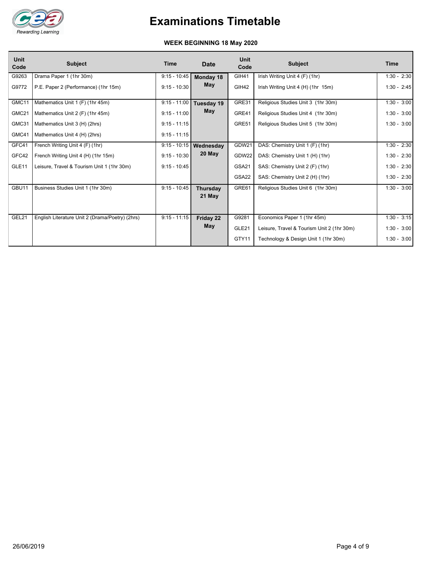

#### **WEEK BEGINNING 18 May 2020**

| $9:15 - 10:45$<br>G9263<br>Drama Paper 1 (1hr 30m)<br><b>GIH41</b><br>Irish Writing Unit 4 (F) (1hr)<br>Monday 18<br><b>May</b><br>GIH42<br>G9772<br>P.E. Paper 2 (Performance) (1hr 15m)<br>$9:15 - 10:30$<br>Irish Writing Unit 4 (H) (1hr 15m)<br>Mathematics Unit 1 (F) (1hr 45m)<br>$9:15 - 11:00$<br>GRE31<br>GMC11<br>Religious Studies Unit 3 (1hr 30m)<br>Tuesday 19<br><b>May</b><br>GRE41<br>GMC21<br>$9:15 - 11:00$<br>Mathematics Unit 2 (F) (1hr 45m)<br>Religious Studies Unit 4 (1hr 30m)<br>GRE51<br>GMC31<br>$9:15 - 11:15$<br>Mathematics Unit 3 (H) (2hrs)<br>Religious Studies Unit 5 (1hr 30m)<br>GMC41<br>$9:15 - 11:15$<br>Mathematics Unit 4 (H) (2hrs)<br>GDW21<br>GFC41<br>$9:15 - 10:15$<br>DAS: Chemistry Unit 1 (F) (1hr)<br>French Writing Unit 4 (F) (1hr)<br>Wednesday<br>20 May<br>GFC42<br>$9:15 - 10:30$<br>GDW22<br>French Writing Unit 4 (H) (1hr 15m)<br>DAS: Chemistry Unit 1 (H) (1hr)<br>GSA21<br>GLE <sub>11</sub><br>$9:15 - 10:45$<br>Leisure, Travel & Tourism Unit 1 (1hr 30m)<br>SAS: Chemistry Unit 2 (F) (1hr)<br>GSA22<br>SAS: Chemistry Unit 2 (H) (1hr)<br>GBU11<br>$9:15 - 10:45$<br>GRE61<br>Business Studies Unit 1 (1hr 30m)<br>Religious Studies Unit 6 (1hr 30m)<br><b>Thursday</b><br>21 May | <b>Unit</b><br>Code | <b>Subject</b> | Time | <b>Date</b> | <b>Unit</b><br>Code | <b>Subject</b> | Time          |
|----------------------------------------------------------------------------------------------------------------------------------------------------------------------------------------------------------------------------------------------------------------------------------------------------------------------------------------------------------------------------------------------------------------------------------------------------------------------------------------------------------------------------------------------------------------------------------------------------------------------------------------------------------------------------------------------------------------------------------------------------------------------------------------------------------------------------------------------------------------------------------------------------------------------------------------------------------------------------------------------------------------------------------------------------------------------------------------------------------------------------------------------------------------------------------------------------------------------------------------------------------|---------------------|----------------|------|-------------|---------------------|----------------|---------------|
|                                                                                                                                                                                                                                                                                                                                                                                                                                                                                                                                                                                                                                                                                                                                                                                                                                                                                                                                                                                                                                                                                                                                                                                                                                                          |                     |                |      |             |                     |                | $1:30 - 2:30$ |
|                                                                                                                                                                                                                                                                                                                                                                                                                                                                                                                                                                                                                                                                                                                                                                                                                                                                                                                                                                                                                                                                                                                                                                                                                                                          |                     |                |      |             |                     |                | $1:30 - 2:45$ |
|                                                                                                                                                                                                                                                                                                                                                                                                                                                                                                                                                                                                                                                                                                                                                                                                                                                                                                                                                                                                                                                                                                                                                                                                                                                          |                     |                |      |             |                     |                | $1:30 - 3:00$ |
|                                                                                                                                                                                                                                                                                                                                                                                                                                                                                                                                                                                                                                                                                                                                                                                                                                                                                                                                                                                                                                                                                                                                                                                                                                                          |                     |                |      |             |                     |                | $1:30 - 3:00$ |
|                                                                                                                                                                                                                                                                                                                                                                                                                                                                                                                                                                                                                                                                                                                                                                                                                                                                                                                                                                                                                                                                                                                                                                                                                                                          |                     |                |      |             |                     |                | $1:30 - 3:00$ |
|                                                                                                                                                                                                                                                                                                                                                                                                                                                                                                                                                                                                                                                                                                                                                                                                                                                                                                                                                                                                                                                                                                                                                                                                                                                          |                     |                |      |             |                     |                |               |
|                                                                                                                                                                                                                                                                                                                                                                                                                                                                                                                                                                                                                                                                                                                                                                                                                                                                                                                                                                                                                                                                                                                                                                                                                                                          |                     |                |      |             |                     |                | $1:30 - 2:30$ |
|                                                                                                                                                                                                                                                                                                                                                                                                                                                                                                                                                                                                                                                                                                                                                                                                                                                                                                                                                                                                                                                                                                                                                                                                                                                          |                     |                |      |             |                     |                | $1:30 - 2:30$ |
|                                                                                                                                                                                                                                                                                                                                                                                                                                                                                                                                                                                                                                                                                                                                                                                                                                                                                                                                                                                                                                                                                                                                                                                                                                                          |                     |                |      |             |                     |                | $1:30 - 2:30$ |
|                                                                                                                                                                                                                                                                                                                                                                                                                                                                                                                                                                                                                                                                                                                                                                                                                                                                                                                                                                                                                                                                                                                                                                                                                                                          |                     |                |      |             |                     |                | $1:30 - 2:30$ |
|                                                                                                                                                                                                                                                                                                                                                                                                                                                                                                                                                                                                                                                                                                                                                                                                                                                                                                                                                                                                                                                                                                                                                                                                                                                          |                     |                |      |             |                     |                | $1:30 - 3:00$ |
|                                                                                                                                                                                                                                                                                                                                                                                                                                                                                                                                                                                                                                                                                                                                                                                                                                                                                                                                                                                                                                                                                                                                                                                                                                                          |                     |                |      |             |                     |                |               |
| GEL21<br>$9:15 - 11:15$<br>G9281<br>English Literature Unit 2 (Drama/Poetry) (2hrs)<br>Economics Paper 1 (1hr 45m)<br>Friday 22                                                                                                                                                                                                                                                                                                                                                                                                                                                                                                                                                                                                                                                                                                                                                                                                                                                                                                                                                                                                                                                                                                                          |                     |                |      |             |                     |                | $1:30 - 3:15$ |
| May<br>GLE21<br>Leisure, Travel & Tourism Unit 2 (1hr 30m)                                                                                                                                                                                                                                                                                                                                                                                                                                                                                                                                                                                                                                                                                                                                                                                                                                                                                                                                                                                                                                                                                                                                                                                               |                     |                |      |             |                     |                | $1:30 - 3:00$ |
| GTY11<br>Technology & Design Unit 1 (1hr 30m)                                                                                                                                                                                                                                                                                                                                                                                                                                                                                                                                                                                                                                                                                                                                                                                                                                                                                                                                                                                                                                                                                                                                                                                                            |                     |                |      |             |                     |                | $1:30 - 3:00$ |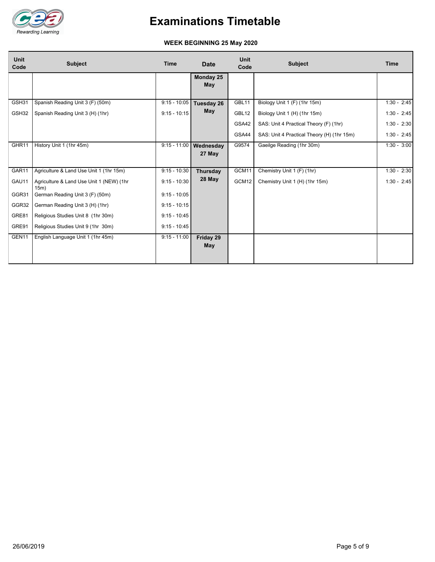

#### **WEEK BEGINNING 25 May 2020**

| <b>Unit</b><br>Code | <b>Subject</b>                                   | <b>Time</b>    | <b>Date</b>                      | Unit<br>Code | <b>Subject</b>                             | <b>Time</b>   |
|---------------------|--------------------------------------------------|----------------|----------------------------------|--------------|--------------------------------------------|---------------|
|                     |                                                  |                | Monday 25<br>May                 |              |                                            |               |
| GSH31               | Spanish Reading Unit 3 (F) (50m)                 | $9:15 - 10:05$ | Tuesday 26                       | GBL11        | Biology Unit 1 (F) (1hr 15m)               | $1:30 - 2:45$ |
| GSH32               | Spanish Reading Unit 3 (H) (1hr)                 | $9:15 - 10:15$ | May                              | GBL12        | Biology Unit 1 (H) (1hr 15m)               | $1:30 - 2:45$ |
|                     |                                                  |                |                                  | GSA42        | SAS: Unit 4 Practical Theory (F) (1hr)     | $1:30 - 2:30$ |
|                     |                                                  |                |                                  | GSA44        | SAS: Unit 4 Practical Theory (H) (1hr 15m) | $1:30 - 2:45$ |
| GHR11               | History Unit 1 (1hr 45m)                         |                | 9:15 - 11:00 Wednesday<br>27 May | G9574        | Gaeilge Reading (1hr 30m)                  | $1:30 - 3:00$ |
| GAR11               | Agriculture & Land Use Unit 1 (1hr 15m)          | $9:15 - 10:30$ | <b>Thursday</b>                  | GCM11        | Chemistry Unit 1 (F) (1hr)                 | $1:30 - 2:30$ |
| GAU11               | Agriculture & Land Use Unit 1 (NEW) (1hr<br>15m) | $9:15 - 10:30$ | 28 May                           | GCM12        | Chemistry Unit 1 (H) (1hr 15m)             | $1:30 - 2:45$ |
| GGR31               | German Reading Unit 3 (F) (50m)                  | $9:15 - 10:05$ |                                  |              |                                            |               |
| GGR32               | German Reading Unit 3 (H) (1hr)                  | $9:15 - 10:15$ |                                  |              |                                            |               |
| GRE81               | Religious Studies Unit 8 (1hr 30m)               | $9:15 - 10:45$ |                                  |              |                                            |               |
| GRE91               | Religious Studies Unit 9 (1hr 30m)               | $9:15 - 10:45$ |                                  |              |                                            |               |
| GEN11               | English Language Unit 1 (1hr 45m)                | $9:15 - 11:00$ | Friday 29<br>May                 |              |                                            |               |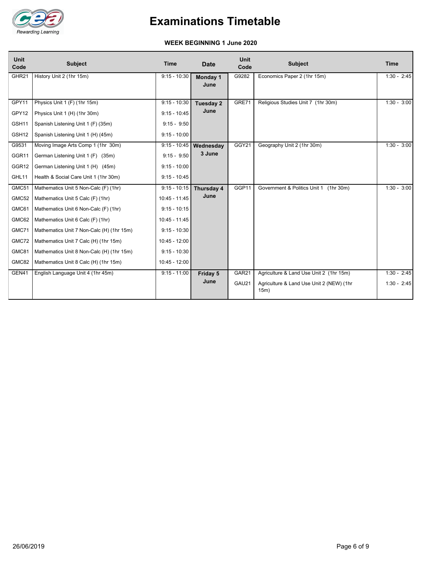

#### **WEEK BEGINNING 1 June 2020**

| <b>Unit</b><br>Code | <b>Subject</b>                            | <b>Time</b>     | <b>Date</b>      | Unit<br>Code      | <b>Subject</b>                                   | <b>Time</b>   |
|---------------------|-------------------------------------------|-----------------|------------------|-------------------|--------------------------------------------------|---------------|
| GHR <sub>21</sub>   | History Unit 2 (1hr 15m)                  | $9:15 - 10:30$  | Monday 1<br>June | G9282             | Economics Paper 2 (1hr 15m)                      | $1:30 - 2:45$ |
| GPY11               | Physics Unit 1 (F) (1hr 15m)              | $9:15 - 10:30$  | Tuesday 2        | GRE71             | Religious Studies Unit 7 (1hr 30m)               | $1:30 - 3:00$ |
| GPY12               | Physics Unit 1 (H) (1hr 30m)              | $9:15 - 10:45$  | June             |                   |                                                  |               |
| GSH11               | Spanish Listening Unit 1 (F) (35m)        | $9:15 - 9:50$   |                  |                   |                                                  |               |
| GSH12               | Spanish Listening Unit 1 (H) (45m)        | $9:15 - 10:00$  |                  |                   |                                                  |               |
| G9531               | Moving Image Arts Comp 1 (1hr 30m)        | $9:15 - 10:45$  | <b>Wednesday</b> | GGY21             | Geography Unit 2 (1hr 30m)                       | $1:30 - 3:00$ |
| GGR11               | German Listening Unit 1 (F) (35m)         | $9:15 - 9:50$   | 3 June           |                   |                                                  |               |
| GGR12               | German Listening Unit 1 (H) (45m)         | $9:15 - 10:00$  |                  |                   |                                                  |               |
| GHL11               | Health & Social Care Unit 1 (1hr 30m)     | $9:15 - 10:45$  |                  |                   |                                                  |               |
| GMC51               | Mathematics Unit 5 Non-Calc (F) (1hr)     | $9:15 - 10:15$  | Thursday 4       | GGP11             | Government & Politics Unit 1 (1hr 30m)           | $1:30 - 3:00$ |
| GMC52               | Mathematics Unit 5 Calc (F) (1hr)         | $10:45 - 11:45$ | June             |                   |                                                  |               |
| GMC61               | Mathematics Unit 6 Non-Calc (F) (1hr)     | $9:15 - 10:15$  |                  |                   |                                                  |               |
| GMC62               | Mathematics Unit 6 Calc (F) (1hr)         | 10:45 - 11:45   |                  |                   |                                                  |               |
| GMC71               | Mathematics Unit 7 Non-Calc (H) (1hr 15m) | $9:15 - 10:30$  |                  |                   |                                                  |               |
| GMC72               | Mathematics Unit 7 Calc (H) (1hr 15m)     | $10:45 - 12:00$ |                  |                   |                                                  |               |
| GMC81               | Mathematics Unit 8 Non-Calc (H) (1hr 15m) | $9:15 - 10:30$  |                  |                   |                                                  |               |
| GMC82               | Mathematics Unit 8 Calc (H) (1hr 15m)     | 10:45 - 12:00   |                  |                   |                                                  |               |
| GEN41               | English Language Unit 4 (1hr 45m)         | $9:15 - 11:00$  | Friday 5         | GAR <sub>21</sub> | Agriculture & Land Use Unit 2 (1hr 15m)          | $1:30 - 2:45$ |
|                     |                                           |                 | June             | GAU21             | Agriculture & Land Use Unit 2 (NEW) (1hr<br>15m) | $1:30 - 2:45$ |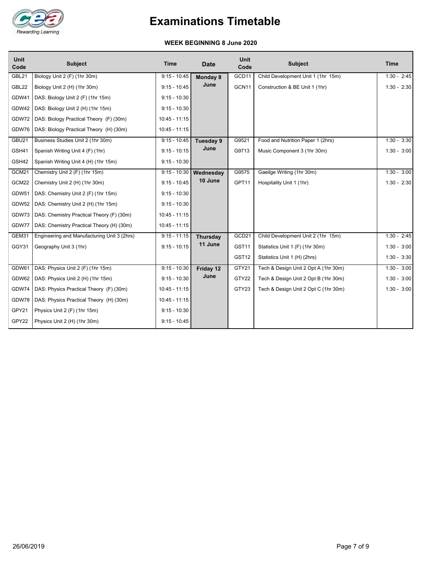

#### **WEEK BEGINNING 8 June 2020**

| <b>Unit</b><br>Code | <b>Subject</b>                              | <b>Time</b>     | <b>Date</b>     | Unit<br>Code      | <b>Subject</b>                       | <b>Time</b>   |
|---------------------|---------------------------------------------|-----------------|-----------------|-------------------|--------------------------------------|---------------|
| GBL21               | Biology Unit 2 (F) (1hr 30m)                | $9:15 - 10:45$  | <b>Monday 8</b> | GCD11             | Child Development Unit 1 (1hr 15m)   | $1:30 - 2:45$ |
| GBL22               | Biology Unit 2 (H) (1hr 30m)                | $9:15 - 10:45$  | June            | GCN11             | Construction & BE Unit 1 (1hr)       | $1:30 - 2:30$ |
| GDW41               | DAS: Biology Unit 2 (F) (1hr 15m)           | $9:15 - 10:30$  |                 |                   |                                      |               |
| GDW42               | DAS: Biology Unit 2 (H) (1hr 15m)           | $9:15 - 10:30$  |                 |                   |                                      |               |
| GDW72               | DAS: Biology Practical Theory (F) (30m)     | $10:45 - 11:15$ |                 |                   |                                      |               |
| GDW76               | DAS: Biology Practical Theory (H) (30m)     | $10:45 - 11:15$ |                 |                   |                                      |               |
| GBU21               | Business Studies Unit 2 (1hr 30m)           | $9:15 - 10:45$  | Tuesday 9       | G9521             | Food and Nutrition Paper 1 (2hrs)    | $1:30 - 3:30$ |
| GSH41               | Spanish Writing Unit 4 (F) (1hr)            | $9:15 - 10:15$  | June            | G9713             | Music Component 3 (1hr 30m)          | $1:30 - 3:00$ |
| GSH42               | Spanish Writing Unit 4 (H) (1hr 15m)        | $9:15 - 10:30$  |                 |                   |                                      |               |
| GCM21               | Chemistry Unit 2 (F) (1hr 15m)              | $9:15 - 10:30$  | Wednesday       | G9575             | Gaeilge Writing (1hr 30m)            | $1:30 - 3:00$ |
| GCM22               | Chemistry Unit 2 (H) (1hr 30m)              | $9:15 - 10:45$  | 10 June         | GPT11             | Hospitality Unit 1 (1hr)             | $1:30 - 2:30$ |
| GDW51               | DAS: Chemistry Unit 2 (F) (1hr 15m)         | $9:15 - 10:30$  |                 |                   |                                      |               |
| GDW52               | DAS: Chemistry Unit 2 (H) (1hr 15m)         | $9:15 - 10:30$  |                 |                   |                                      |               |
| GDW73               | DAS: Chemistry Practical Theory (F) (30m)   | $10:45 - 11:15$ |                 |                   |                                      |               |
| GDW77               | DAS: Chemistry Practical Theory (H) (30m)   | $10:45 - 11:15$ |                 |                   |                                      |               |
| GEM31               | Engineering and Manufacturing Unit 3 (2hrs) | $9:15 - 11:15$  | <b>Thursday</b> | GCD21             | Child Development Unit 2 (1hr 15m)   | $1:30 - 2:45$ |
| GGY31               | Geography Unit 3 (1hr)                      | $9:15 - 10:15$  | 11 June         | GST11             | Statistics Unit 1 (F) (1hr 30m)      | $1:30 - 3:00$ |
|                     |                                             |                 |                 | GST <sub>12</sub> | Statistics Unit 1 (H) (2hrs)         | $1:30 - 3:30$ |
| GDW61               | DAS: Physics Unit 2 (F) (1hr 15m)           | $9:15 - 10:30$  | Friday 12       | GTY21             | Tech & Design Unit 2 Opt A (1hr 30m) | $1:30 - 3:00$ |
| GDW62               | DAS: Physics Unit 2 (H) (1hr 15m)           | $9:15 - 10:30$  | June            | GTY22             | Tech & Design Unit 2 Opt B (1hr 30m) | $1:30 - 3:00$ |
| GDW74               | DAS: Physics Practical Theory (F) (30m)     | $10:45 - 11:15$ |                 | GTY23             | Tech & Design Unit 2 Opt C (1hr 30m) | $1:30 - 3:00$ |
| GDW78               | DAS: Physics Practical Theory (H) (30m)     | $10:45 - 11:15$ |                 |                   |                                      |               |
| GPY21               | Physics Unit 2 (F) (1hr 15m)                | $9:15 - 10:30$  |                 |                   |                                      |               |
| GPY22               | Physics Unit 2 (H) (1hr 30m)                | $9:15 - 10:45$  |                 |                   |                                      |               |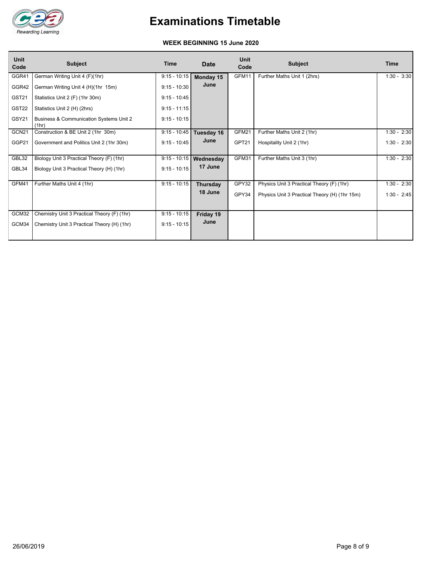

#### **WEEK BEGINNING 15 June 2020**

| <b>Unit</b><br>Code | <b>Subject</b>                                   | Time           | <b>Date</b>              | <b>Unit</b><br>Code | <b>Subject</b>                                | Time          |
|---------------------|--------------------------------------------------|----------------|--------------------------|---------------------|-----------------------------------------------|---------------|
| GGR41               | German Writing Unit 4 (F)(1hr)                   | $9:15 - 10:15$ | Monday 15                | GFM11               | Further Maths Unit 1 (2hrs)                   | $1:30 - 3:30$ |
| GGR42               | German Writing Unit 4 (H)(1hr 15m)               | $9:15 - 10:30$ | June                     |                     |                                               |               |
| GST21               | Statistics Unit 2 (F) (1hr 30m)                  | $9:15 - 10:45$ |                          |                     |                                               |               |
| GST22               | Statistics Unit 2 (H) (2hrs)                     | $9:15 - 11:15$ |                          |                     |                                               |               |
| GSY21               | Business & Communication Systems Unit 2<br>(1hr) | $9:15 - 10:15$ |                          |                     |                                               |               |
| GCN21               | Construction & BE Unit 2 (1hr 30m)               | $9:15 - 10:45$ | Tuesday 16               | GFM21               | Further Maths Unit 2 (1hr)                    | $1:30 - 2:30$ |
| GGP21               | Government and Politics Unit 2 (1hr 30m)         | $9:15 - 10:45$ | June                     | GPT21               | Hospitality Unit 2 (1hr)                      | $1:30 - 2:30$ |
| GBL32               | Biology Unit 3 Practical Theory (F) (1hr)        |                | $9:15 - 10:15$ Wednesday | GFM31               | Further Maths Unit 3 (1hr)                    | $1:30 - 2:30$ |
| GBL34               | Biology Unit 3 Practical Theory (H) (1hr)        | $9:15 - 10:15$ | 17 June                  |                     |                                               |               |
| GFM41               | Further Maths Unit 4 (1hr)                       | $9:15 - 10:15$ | Thursday                 | GPY32               | Physics Unit 3 Practical Theory (F) (1hr)     | $1:30 - 2:30$ |
|                     |                                                  |                | 18 June                  | GPY34               | Physics Unit 3 Practical Theory (H) (1hr 15m) | $1:30 - 2:45$ |
| GCM32               | Chemistry Unit 3 Practical Theory (F) (1hr)      | $9:15 - 10:15$ | Friday 19                |                     |                                               |               |
| GCM34               | Chemistry Unit 3 Practical Theory (H) (1hr)      | $9:15 - 10:15$ | June                     |                     |                                               |               |
|                     |                                                  |                |                          |                     |                                               |               |